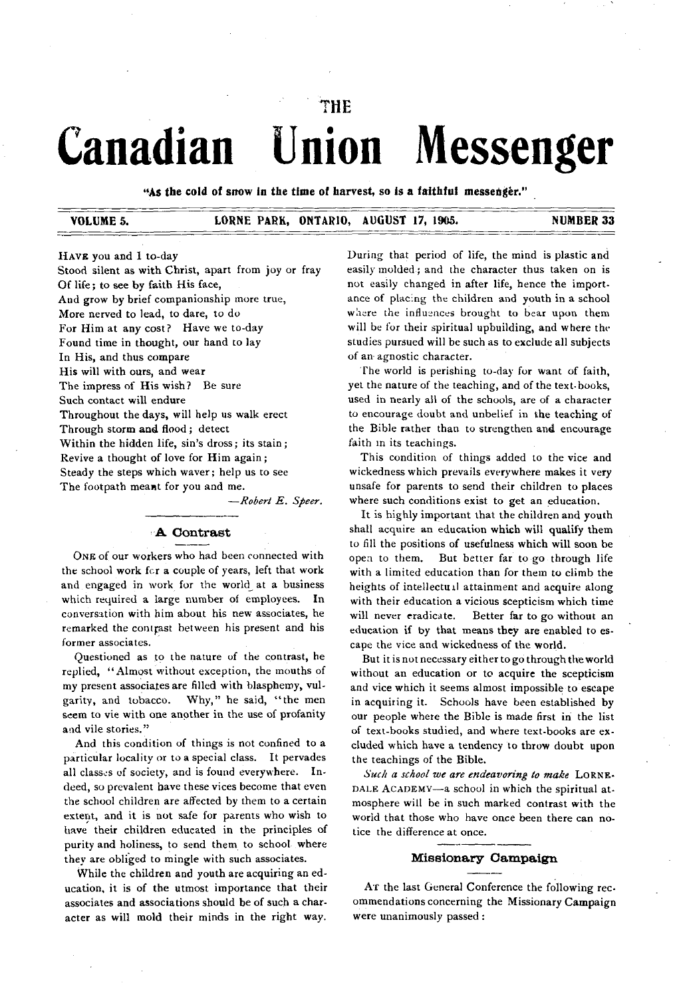# THE **Canadian Union Messenger**

"As the cold of snow in the time of harvest, so is a faithful messenger."

#### **VOLUME 5. LORNE PARK, ONTARIO, AUGUST 17, 1905. NUMBER 33**

HAVE you and I to-day

Stood silent as with Christ, apart from joy or fray Of life; to see by faith His face, And grow by brief companionship more true, More nerved to lead, to dare, to do For Him at any cost? Have we to-day Found time in thought, our hand to lay In His, and thus compare His will with ours, and wear The impress of His wish? Be sure Such contact will endure Throughout the days, will help us walk erect Through storm and flood; detect Within the hidden life, sin's dross; its stain; Revive a thought of love for Him again; Steady the steps which waver; help us to see The footpath meant for you and me.

*— Robert E . Speer.*

# **A Contrast**

ONE of our workers who had been connected with the school work for a couple of years, left that work and engaged in work for the world^ at a business which required a large number of employees. In conversation with him about his new associates, he remarked the contrast between his present and his former associates.

Questioned as to the nature of the contrast, he replied, " Almost without exception, the mouths of my present associates are filled with blasphemy, vulgarity, and tobacco. Why," he said, " the men seem to vie with one another in the use of profanity and vile stories."

And this condition of things is not confined to a particular locality or to a special class. It pervades all classes of society, and is found everywhere. Indeed, so prevalent have these vices become that even the school children are affected by them to a certain extent, and it is not safe for parents who wish to have their children educated in the principles of purity and holiness, to send them to school where they are obliged to mingle with such associates.

While the children and youth are acquiring an education, it is of the utmost importance that their associates and associations should be of such a character as will mold their minds in the right way. During that period of life, the mind is plastic and easily molded; and the character thus taken on is not easily changed in after life, hence the importance of placing the children and youth in a school where the influences brought to bear upon them will be for their spiritual upbuilding, and where the studies pursued will be such as to exclude all subjects of an agnostic character.

The world is perishing to-day for want of faith, yet the nature of the teaching, and of the text-books, used in nearly all of the schools, are of a character to encourage doubt and unbelief in the teaching of the Bible rather than to strengthen and encourage faith in its teachings.

This condition of things added to the vice and wickedness which prevails everywhere makes it very unsafe for parents to send their children to places where such conditions exist to get an education.

It is highly important that the children and youth shall acquire an education which will qualify them to fill the positions of usefulness which will soon be open to them. But better far to go through life with a limited education than for them to climb the heights of intellectual attainment and acquire along with their education a vicious scepticism which time will never eradicate. Better far to go without an education if by that means they are enabled to escape the vice and wickedness of the world.

But it is not necessary either to go through the world without an education or to acquire the scepticism and vice which it seems almost impossible to escape in acquiring it. Schools have been established by our people where the Bible is made first in the list of text-books studied, and where text-books are excluded which have a tendency to throw doubt upon the teachings of the Bible.

Such a school we are endeavoring to make LORNE-DALE ACADEMY-a school in which the spiritual atmosphere will be in such marked contrast with the world that those who have once been there can notice the difference at once.

#### **M iss ion ary C am p a ign**

AT the last General Conference the following recommendations concerning the Missionary Campaign were unanimously passed :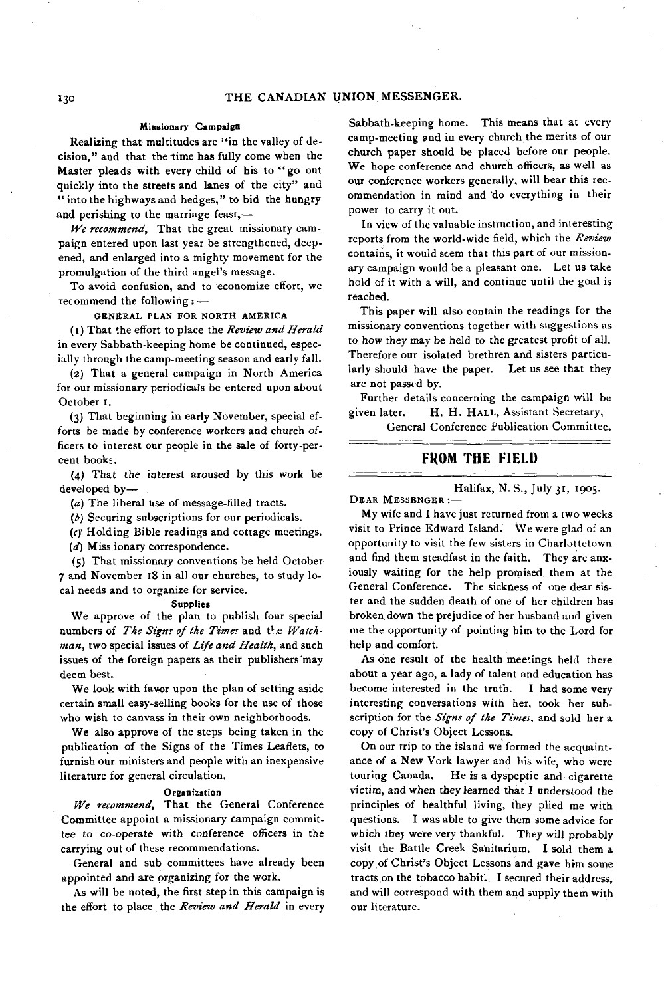#### Missionary Campaign

Realizing that multitudes are "in the valley of decision," and that the time has fully come when the Master pleads with every child of his to " go out quickly into the streets and lanes of the city" and " into the highways and hedges," to bid the hungry and perishing to the marriage feast,—

*IVe recommend*, That the great missionary campaign entered upon last year be strengthened, deepened, and enlarged into a mighty movement for the promulgation of the third angel's message.

To avoid confusion, and to economize effort, we recommend the following : —

GÉNÉRAL PLAN FOR NORTH AMERICA

(1) That the effort to place the *Review and Herald* in every Sabbath-keeping home be continued, especially through the camp-meeting season and early fall.

(2) That a general campaign in North America for our missionary periodicals be entered upon about October I.

(3) That beginning in early November, special efforts be made by conference workers and church officers to interest our people in the sale of forty-percent books.

(4) That the interest aroused by this work be developed by—

*(a)* The liberal use of message-filled tracts.

*(b)* Securing subscriptions for our periodicals.

*(c)'* Holding Bible readings and cottage meetings.

*(d)* Miss ionary correspondence.

(5) That missionary conventions be held October 7 and November 18 in all our churches, to study local needs and to organize for service.

#### Supplies

We approve of the plan to publish four special numbers of *The Signs of the Times* and the *Watchman,* two special issues of *L ife and Health,* and such issues of the foreign papers as their publishers'may deem best.

We look with favor upon the plan of setting aside certain small easy-selling books for the use of those who wish to canvass in their own neighborhoods.

We also approve of the steps being taken in the publication of the Signs of the Times Leaflets, to furnish our ministers and people with an inexpensive literature for general circulation.

#### Organization

*We recommend,* That the General Conference Committee appoint a missionary campaign committee to co-operate with conference officers in the carrying out of these recommendations.

General and sub committees have already been appointed and are organizing for the work.

As will be noted, the first step in this campaign is the effort to place the *Review and Herald* in every

Sabbath-keeping home. This means that at every camp-meeting and in every church the merits of our church paper should be placed before our people. We hope conference and church officers, as well as our conference workers generally, will bear this recommendation in mind and do everything in their power to carry it out.

In view of the valuable instruction, and interesting reports from the world-wide field, which the *Review* contains, it would seem that this part of our missionary campaign would be a pleasant one. Let us take hold of it with a will, and continue until the goal is reached.

This paper will also contain the readings for the missionary conventions together with suggestions as to how they may be held to the greatest profit of all. Therefore our isolated brethren and sisters particularly should have the paper. Let us see that they are not passed by.

Further details concerning the campaign will be given later. H. H. HALL, Assistant Secretary,

General Conference Publication Committee.

## FROM THE FIELD

Halifax, N. S., July 31, 1905.

DEAR MESSENGER :-

My wife and I have just returned from a two weeks visit to Prince Edward Island. We were glad of an opportunity to visit the few sisters in Charlottetown and find them steadfast in the faith. They are anxiously waiting for the help promised them at the General Conference. The sickness of one dear sister and the sudden death of one of her children has broken, down the prejudice of her husband and given me the opportunity of pointing him to the Lord for help and comfort.

As one result of the health meetings held there about a year ago, a lady of talent and education has become interested in the truth. I had some very interesting conversations with her, took her subscription for the *Signs of the Times,* and sold her a copy of Christ's Object Lessons.

On our trip to the island we formed the acquaintance of a New York lawyer and his wife, who were touring Canada. He is a dyspeptic and cigarette victim, and when they learned that I understood the principles of healthful living, they plied me with questions. I was able to give them some advice for which they were very thankful. They will probably visit the Battle Creek Sanitarium. I sold them a copy of Christ's Object Lessons and gave him some tracts on the tobacco habit. I secured their address, and will correspond with them and supply them with our literature.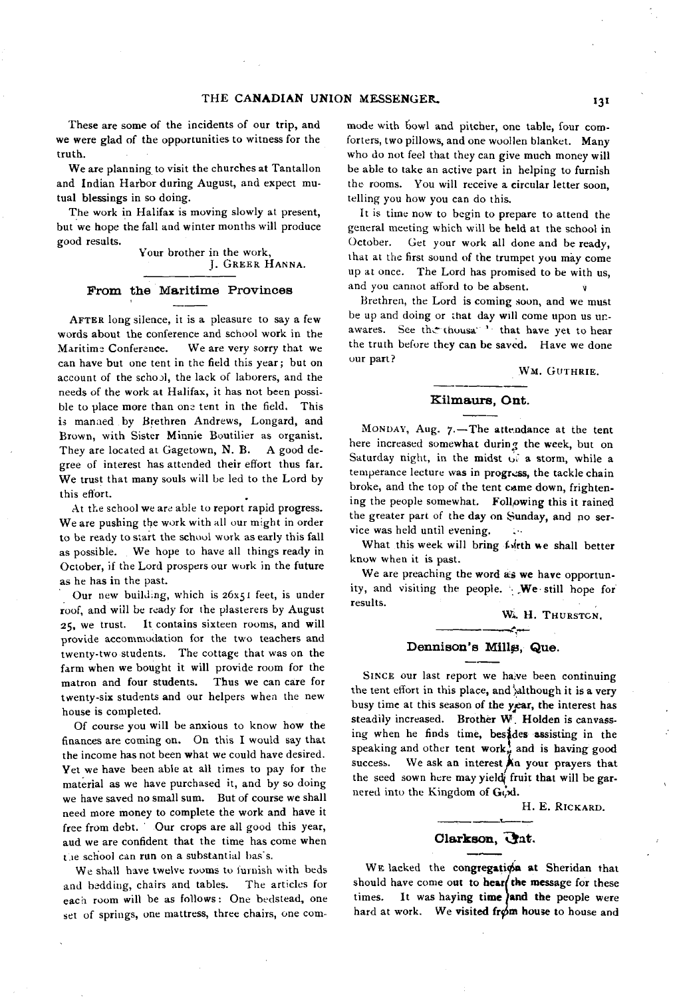These are some of the incidents of our trip, and we were glad of the opportunities to witness for the truth.

We are planning to visit the churches at Tantallon and Indian Harbor during August, and expect mutual blessings in so doing.

The work in Halifax is moving slowly at present, but we hope the fall and winter months will produce good results.

Your brother in the work, J. GREER HANNA.

## From the Maritime Provinces

AFTER long silence, it is a pleasure to say a few words about the conference and school work in the Maritime Conference. We are very sorry that we can have but one tent in the field this year; but on account of the school, the lack of laborers, and the needs of the work at Halifax, it has not been possible to place more than one tent in the field. This is manned by Brethren Andrews, Longard, and Brown, with Sister Minnie Boutilier as organist. They are located at Gagetown, N. B. A good degree of interest has attended their effort thus far. We trust that many souls will be led to the Lord by this effort.

At the school we are able to report rapid progress. We are pushing the work with all our might in order to be ready to start the school work as early this fall as possible. We hope to have all things ready in October, if the Lord prospers our work in the future as he has in the past.

Our new building, which is 26x51 feet, is under roof, and will be ready for the plasterers by August 25, we trust. It contains sixteen rooms, and will provide accommodation for the two teachers and twenty-two students. The cottage that was on the farm when we bought it will provide room for the matron and four students. Thus we can care for twenty-six students and our helpers when the new house is completed.

Of course you will be anxious to know how the finances are coming on. On this I would say that the income has not been what we could have desired. Yet we have been able at all times to pay for the material as we have purchased it, and by so doing we have saved no small sum. But of course we shall need more money to complete the work and have it free from debt. Our crops are all good this year, aud we are confident that the time has come when t.ie school can run on a substantial bas's.

We shall have twelve rooms to furnish with beds and bedding, chairs and tables. The articles for each room will be as follows: One bedstead, one set of springs, one mattress, three chairs, one com-

mode with bowl and pitcher, one table, four comforters, two pillows, and one woollen blanket. Many who do not feel that they can give much money will be able to take an active part in helping to furnish the rooms. You will receive a circular letter soon, telling you how you can do this.

It is time now to begin to prepare to attend the general meeting which will be held at the school in October. Get your work all done and be ready, that at the first sound of the trumpet you may come up at once. The Lord has promised to be with us, and you cannot afford to be absent. *v*

Brethren, the Lord is coming soon, and we must be up and doing or that day will come upon us unawares. See the thousa<sup>1</sup> that have yet to hear the truth before they can be saved. Have we done our part?

#### WM. GUTHRIE.

#### **K ilm aurs , Ont.**

MONDAY, Aug. 7.-The attendance at the tent here increased somewhat during the week, but on Saturday night, in the midst of a storm, while a temperance lecture was in progress, the tackle chain broke, and the top of the tent came down, frightening the people somewhat. Following this it rained the greater part of the day on Sunday, and no service was held until evening.

What this week will bring forth we shall better know when it is past.

We are preaching **the** word **as we have** opportunity, and visiting the people. We still hope for results.

> W. H. THURSTON. تسعيد

## Dennison's Mill<sub>g</sub>, Que.

SINCE our last report we have been continuing the tent effort in this place, and although it is a very busy time at this season of the year, the interest has steadily increased. Brother W. Holden is canvassing when he finds time, besides assisting in the speaking and other tent work, and is having good success. We ask an interest **An** your prayers that the seed sown here may yield fruit that will be garnered into the Kingdom of God.

H. E. RICKARD.

# Clarkson, *Gat.*

**W e** lacked the **congregation at** Sheridan that should have come **out to hear/ the message** for these times. It was haying time and the people were hard at work. We visited from house to house and